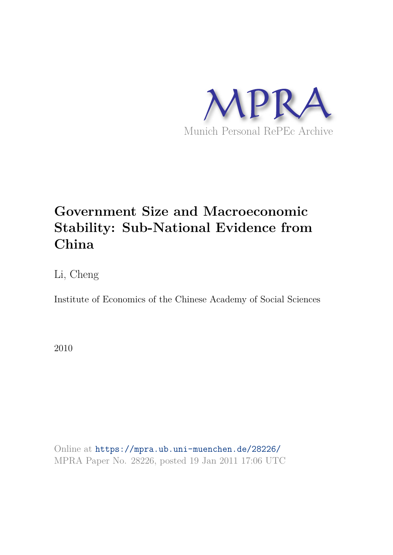

## **Government Size and Macroeconomic Stability: Sub-National Evidence from China**

Li, Cheng

Institute of Economics of the Chinese Academy of Social Sciences

2010

Online at https://mpra.ub.uni-muenchen.de/28226/ MPRA Paper No. 28226, posted 19 Jan 2011 17:06 UTC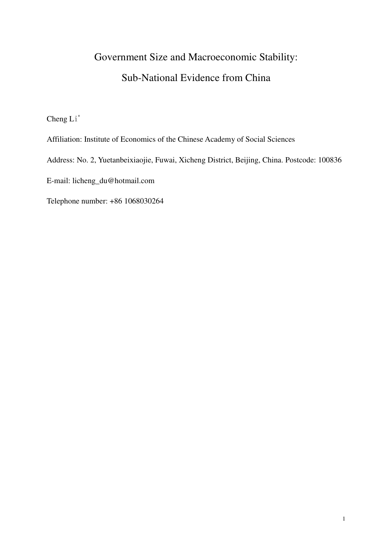# Government Size and Macroeconomic Stability: Sub-National Evidence from China

Cheng Li<sup>\*</sup>

Affiliation: Institute of Economics of the Chinese Academy of Social Sciences

Address: No. 2, Yuetanbeixiaojie, Fuwai, Xicheng District, Beijing, China. Postcode: 100836

E-mail: licheng\_du@hotmail.com

Telephone number: +86 1068030264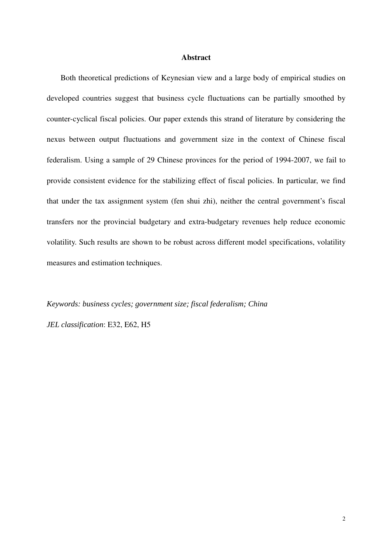#### **Abstract**

Both theoretical predictions of Keynesian view and a large body of empirical studies on developed countries suggest that business cycle fluctuations can be partially smoothed by counter-cyclical fiscal policies. Our paper extends this strand of literature by considering the nexus between output fluctuations and government size in the context of Chinese fiscal federalism. Using a sample of 29 Chinese provinces for the period of 1994-2007, we fail to provide consistent evidence for the stabilizing effect of fiscal policies. In particular, we find that under the tax assignment system (fen shui zhi), neither the central government's fiscal transfers nor the provincial budgetary and extra-budgetary revenues help reduce economic volatility. Such results are shown to be robust across different model specifications, volatility measures and estimation techniques.

*Keywords: business cycles; government size; fiscal federalism; China* 

*JEL classification*: E32, E62, H5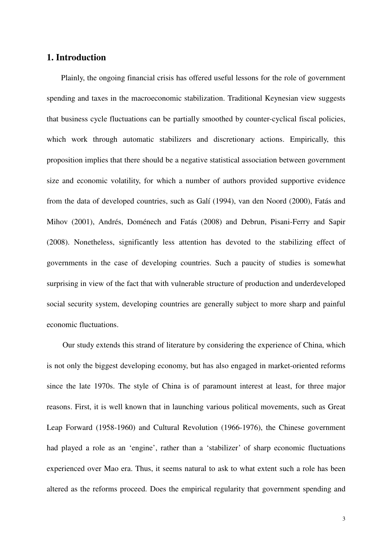### **1. Introduction**

Plainly, the ongoing financial crisis has offered useful lessons for the role of government spending and taxes in the macroeconomic stabilization. Traditional Keynesian view suggests that business cycle fluctuations can be partially smoothed by counter-cyclical fiscal policies, which work through automatic stabilizers and discretionary actions. Empirically, this proposition implies that there should be a negative statistical association between government size and economic volatility, for which a number of authors provided supportive evidence from the data of developed countries, such as Galí (1994), van den Noord (2000), Fatás and Mihov (2001), Andrés, Doménech and Fatás (2008) and Debrun, Pisani-Ferry and Sapir (2008). Nonetheless, significantly less attention has devoted to the stabilizing effect of governments in the case of developing countries. Such a paucity of studies is somewhat surprising in view of the fact that with vulnerable structure of production and underdeveloped social security system, developing countries are generally subject to more sharp and painful economic fluctuations.

Our study extends this strand of literature by considering the experience of China, which is not only the biggest developing economy, but has also engaged in market-oriented reforms since the late 1970s. The style of China is of paramount interest at least, for three major reasons. First, it is well known that in launching various political movements, such as Great Leap Forward (1958-1960) and Cultural Revolution (1966-1976), the Chinese government had played a role as an 'engine', rather than a 'stabilizer' of sharp economic fluctuations experienced over Mao era. Thus, it seems natural to ask to what extent such a role has been altered as the reforms proceed. Does the empirical regularity that government spending and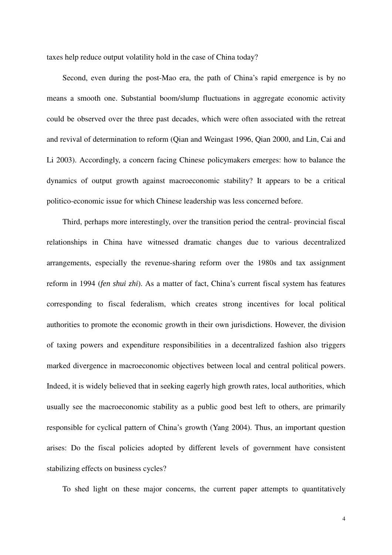taxes help reduce output volatility hold in the case of China today?

Second, even during the post-Mao era, the path of China's rapid emergence is by no means a smooth one. Substantial boom/slump fluctuations in aggregate economic activity could be observed over the three past decades, which were often associated with the retreat and revival of determination to reform (Qian and Weingast 1996, Qian 2000, and Lin, Cai and Li 2003). Accordingly, a concern facing Chinese policymakers emerges: how to balance the dynamics of output growth against macroeconomic stability? It appears to be a critical politico-economic issue for which Chinese leadership was less concerned before.

Third, perhaps more interestingly, over the transition period the central- provincial fiscal relationships in China have witnessed dramatic changes due to various decentralized arrangements, especially the revenue-sharing reform over the 1980s and tax assignment reform in 1994 (*fen shui zhi*). As a matter of fact, China's current fiscal system has features corresponding to fiscal federalism, which creates strong incentives for local political authorities to promote the economic growth in their own jurisdictions. However, the division of taxing powers and expenditure responsibilities in a decentralized fashion also triggers marked divergence in macroeconomic objectives between local and central political powers. Indeed, it is widely believed that in seeking eagerly high growth rates, local authorities, which usually see the macroeconomic stability as a public good best left to others, are primarily responsible for cyclical pattern of China's growth (Yang 2004). Thus, an important question arises: Do the fiscal policies adopted by different levels of government have consistent stabilizing effects on business cycles?

To shed light on these major concerns, the current paper attempts to quantitatively

4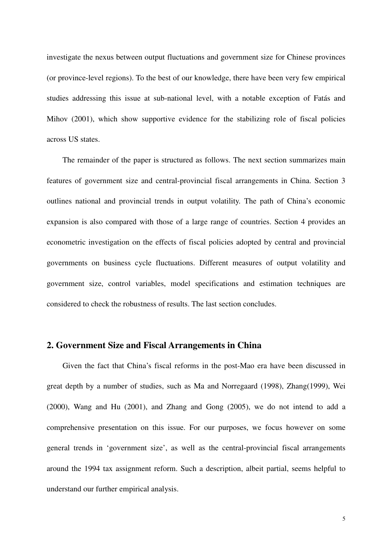investigate the nexus between output fluctuations and government size for Chinese provinces (or province-level regions). To the best of our knowledge, there have been very few empirical studies addressing this issue at sub-national level, with a notable exception of Fatás and Mihov (2001), which show supportive evidence for the stabilizing role of fiscal policies across US states.

The remainder of the paper is structured as follows. The next section summarizes main features of government size and central-provincial fiscal arrangements in China. Section 3 outlines national and provincial trends in output volatility. The path of China's economic expansion is also compared with those of a large range of countries. Section 4 provides an econometric investigation on the effects of fiscal policies adopted by central and provincial governments on business cycle fluctuations. Different measures of output volatility and government size, control variables, model specifications and estimation techniques are considered to check the robustness of results. The last section concludes.

## **2. Government Size and Fiscal Arrangements in China**

Given the fact that China's fiscal reforms in the post-Mao era have been discussed in great depth by a number of studies, such as Ma and Norregaard (1998), Zhang(1999), Wei (2000), Wang and Hu (2001), and Zhang and Gong (2005), we do not intend to add a comprehensive presentation on this issue. For our purposes, we focus however on some general trends in 'government size', as well as the central-provincial fiscal arrangements around the 1994 tax assignment reform. Such a description, albeit partial, seems helpful to understand our further empirical analysis.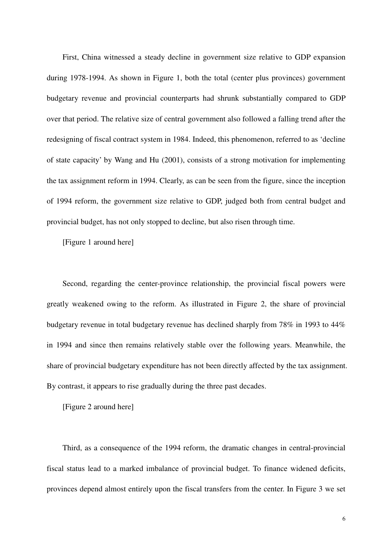First, China witnessed a steady decline in government size relative to GDP expansion during 1978-1994. As shown in Figure 1, both the total (center plus provinces) government budgetary revenue and provincial counterparts had shrunk substantially compared to GDP over that period. The relative size of central government also followed a falling trend after the redesigning of fiscal contract system in 1984. Indeed, this phenomenon, referred to as 'decline of state capacity' by Wang and Hu (2001), consists of a strong motivation for implementing the tax assignment reform in 1994. Clearly, as can be seen from the figure, since the inception of 1994 reform, the government size relative to GDP, judged both from central budget and provincial budget, has not only stopped to decline, but also risen through time.

[Figure 1 around here]

Second, regarding the center-province relationship, the provincial fiscal powers were greatly weakened owing to the reform. As illustrated in Figure 2, the share of provincial budgetary revenue in total budgetary revenue has declined sharply from 78% in 1993 to 44% in 1994 and since then remains relatively stable over the following years. Meanwhile, the share of provincial budgetary expenditure has not been directly affected by the tax assignment. By contrast, it appears to rise gradually during the three past decades.

[Figure 2 around here]

Third, as a consequence of the 1994 reform, the dramatic changes in central-provincial fiscal status lead to a marked imbalance of provincial budget. To finance widened deficits, provinces depend almost entirely upon the fiscal transfers from the center. In Figure 3 we set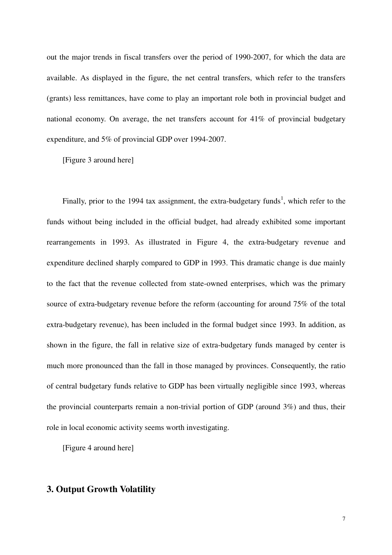out the major trends in fiscal transfers over the period of 1990-2007, for which the data are available. As displayed in the figure, the net central transfers, which refer to the transfers (grants) less remittances, have come to play an important role both in provincial budget and national economy. On average, the net transfers account for 41% of provincial budgetary expenditure, and 5% of provincial GDP over 1994-2007.

[Figure 3 around here]

Finally, prior to the 1994 tax assignment, the extra-budgetary funds<sup>1</sup>, which refer to the funds without being included in the official budget, had already exhibited some important rearrangements in 1993. As illustrated in Figure 4, the extra-budgetary revenue and expenditure declined sharply compared to GDP in 1993. This dramatic change is due mainly to the fact that the revenue collected from state-owned enterprises, which was the primary source of extra-budgetary revenue before the reform (accounting for around 75% of the total extra-budgetary revenue), has been included in the formal budget since 1993. In addition, as shown in the figure, the fall in relative size of extra-budgetary funds managed by center is much more pronounced than the fall in those managed by provinces. Consequently, the ratio of central budgetary funds relative to GDP has been virtually negligible since 1993, whereas the provincial counterparts remain a non-trivial portion of GDP (around 3%) and thus, their role in local economic activity seems worth investigating.

[Figure 4 around here]

## **3. Output Growth Volatility**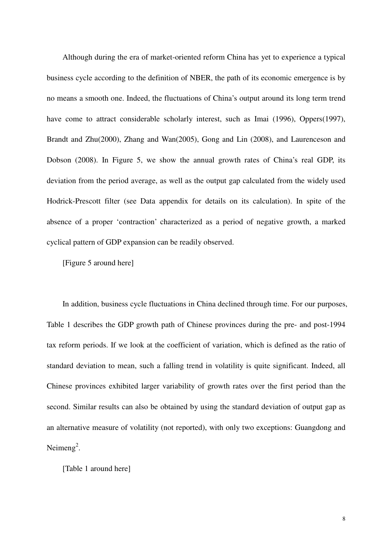Although during the era of market-oriented reform China has yet to experience a typical business cycle according to the definition of NBER, the path of its economic emergence is by no means a smooth one. Indeed, the fluctuations of China's output around its long term trend have come to attract considerable scholarly interest, such as Imai (1996), Oppers(1997), Brandt and Zhu(2000), Zhang and Wan(2005), Gong and Lin (2008), and Laurenceson and Dobson (2008). In Figure 5, we show the annual growth rates of China's real GDP, its deviation from the period average, as well as the output gap calculated from the widely used Hodrick-Prescott filter (see Data appendix for details on its calculation). In spite of the absence of a proper 'contraction' characterized as a period of negative growth, a marked cyclical pattern of GDP expansion can be readily observed.

[Figure 5 around here]

In addition, business cycle fluctuations in China declined through time. For our purposes, Table 1 describes the GDP growth path of Chinese provinces during the pre- and post-1994 tax reform periods. If we look at the coefficient of variation, which is defined as the ratio of standard deviation to mean, such a falling trend in volatility is quite significant. Indeed, all Chinese provinces exhibited larger variability of growth rates over the first period than the second. Similar results can also be obtained by using the standard deviation of output gap as an alternative measure of volatility (not reported), with only two exceptions: Guangdong and Neimeng<sup>2</sup>.

[Table 1 around here]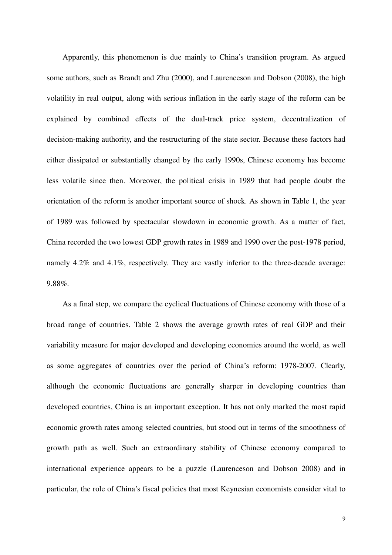Apparently, this phenomenon is due mainly to China's transition program. As argued some authors, such as Brandt and Zhu (2000), and Laurenceson and Dobson (2008), the high volatility in real output, along with serious inflation in the early stage of the reform can be explained by combined effects of the dual-track price system, decentralization of decision-making authority, and the restructuring of the state sector. Because these factors had either dissipated or substantially changed by the early 1990s, Chinese economy has become less volatile since then. Moreover, the political crisis in 1989 that had people doubt the orientation of the reform is another important source of shock. As shown in Table 1, the year of 1989 was followed by spectacular slowdown in economic growth. As a matter of fact, China recorded the two lowest GDP growth rates in 1989 and 1990 over the post-1978 period, namely 4.2% and 4.1%, respectively. They are vastly inferior to the three-decade average: 9.88%.

As a final step, we compare the cyclical fluctuations of Chinese economy with those of a broad range of countries. Table 2 shows the average growth rates of real GDP and their variability measure for major developed and developing economies around the world, as well as some aggregates of countries over the period of China's reform: 1978-2007. Clearly, although the economic fluctuations are generally sharper in developing countries than developed countries, China is an important exception. It has not only marked the most rapid economic growth rates among selected countries, but stood out in terms of the smoothness of growth path as well. Such an extraordinary stability of Chinese economy compared to international experience appears to be a puzzle (Laurenceson and Dobson 2008) and in particular, the role of China's fiscal policies that most Keynesian economists consider vital to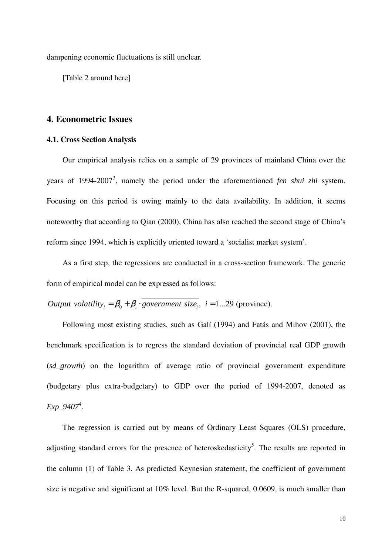dampening economic fluctuations is still unclear.

[Table 2 around here]

#### **4. Econometric Issues**

#### **4.1. Cross Section Analysis**

Our empirical analysis relies on a sample of 29 provinces of mainland China over the years of 1994-2007<sup>3</sup> , namely the period under the aforementioned *fen shui zhi* system. Focusing on this period is owing mainly to the data availability. In addition, it seems noteworthy that according to Qian (2000), China has also reached the second stage of China's reform since 1994, which is explicitly oriented toward a 'socialist market system'.

As a first step, the regressions are conducted in a cross-section framework. The generic form of empirical model can be expressed as follows:

Output volatility<sub>i</sub> =  $\beta_0 + \beta_1 \cdot \overline{\text{government size}_i}$ , *i* = 1...29 (province).

Following most existing studies, such as Galí (1994) and Fatás and Mihov (2001), the benchmark specification is to regress the standard deviation of provincial real GDP growth (*sd\_growth*) on the logarithm of average ratio of provincial government expenditure (budgetary plus extra-budgetary) to GDP over the period of 1994-2007, denoted as *Exp\_9407<sup>4</sup>* .

The regression is carried out by means of Ordinary Least Squares (OLS) procedure, adjusting standard errors for the presence of heteroskedasticity<sup>5</sup>. The results are reported in the column (1) of Table 3. As predicted Keynesian statement, the coefficient of government size is negative and significant at 10% level. But the R-squared, 0.0609, is much smaller than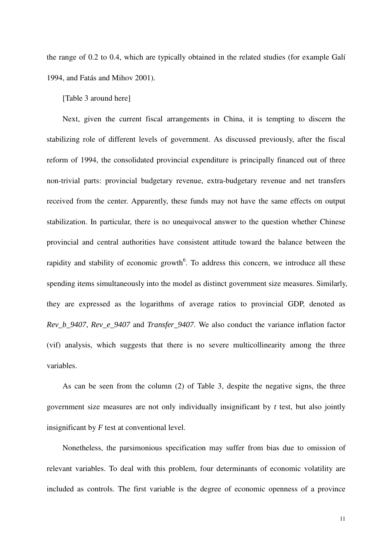the range of 0.2 to 0.4, which are typically obtained in the related studies (for example Galí 1994, and Fatás and Mihov 2001).

#### [Table 3 around here]

Next, given the current fiscal arrangements in China, it is tempting to discern the stabilizing role of different levels of government. As discussed previously, after the fiscal reform of 1994, the consolidated provincial expenditure is principally financed out of three non-trivial parts: provincial budgetary revenue, extra-budgetary revenue and net transfers received from the center. Apparently, these funds may not have the same effects on output stabilization. In particular, there is no unequivocal answer to the question whether Chinese provincial and central authorities have consistent attitude toward the balance between the rapidity and stability of economic growth<sup>6</sup>. To address this concern, we introduce all these spending items simultaneously into the model as distinct government size measures. Similarly, they are expressed as the logarithms of average ratios to provincial GDP, denoted as *Rev\_b\_9407*, *Rev\_e\_9407* and *Transfer\_9407*. We also conduct the variance inflation factor (vif) analysis, which suggests that there is no severe multicollinearity among the three variables.

As can be seen from the column (2) of Table 3, despite the negative signs, the three government size measures are not only individually insignificant by *t* test, but also jointly insignificant by *F* test at conventional level.

Nonetheless, the parsimonious specification may suffer from bias due to omission of relevant variables. To deal with this problem, four determinants of economic volatility are included as controls. The first variable is the degree of economic openness of a province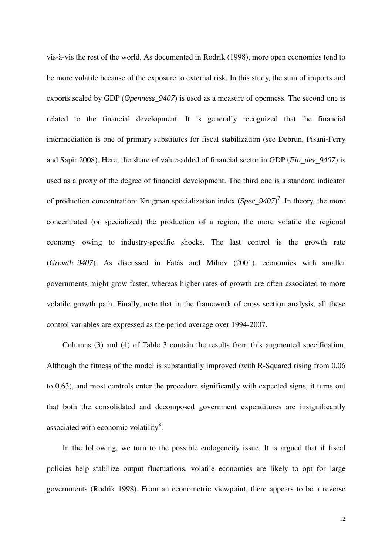vis-à-vis the rest of the world. As documented in Rodrik (1998), more open economies tend to be more volatile because of the exposure to external risk. In this study, the sum of imports and exports scaled by GDP (*Openness\_9407*) is used as a measure of openness. The second one is related to the financial development. It is generally recognized that the financial intermediation is one of primary substitutes for fiscal stabilization (see Debrun, Pisani-Ferry and Sapir 2008). Here, the share of value-added of financial sector in GDP (*Fin\_dev\_9407*) is used as a proxy of the degree of financial development. The third one is a standard indicator of production concentration: Krugman specialization index (*Spec\_9407*)<sup>7</sup>. In theory, the more concentrated (or specialized) the production of a region, the more volatile the regional economy owing to industry-specific shocks. The last control is the growth rate (*Growth\_9407*). As discussed in Fatás and Mihov (2001), economies with smaller governments might grow faster, whereas higher rates of growth are often associated to more volatile growth path. Finally, note that in the framework of cross section analysis, all these control variables are expressed as the period average over 1994-2007.

Columns (3) and (4) of Table 3 contain the results from this augmented specification. Although the fitness of the model is substantially improved (with R-Squared rising from 0.06 to 0.63), and most controls enter the procedure significantly with expected signs, it turns out that both the consolidated and decomposed government expenditures are insignificantly associated with economic volatility $^{8}$ .

In the following, we turn to the possible endogeneity issue. It is argued that if fiscal policies help stabilize output fluctuations, volatile economies are likely to opt for large governments (Rodrik 1998). From an econometric viewpoint, there appears to be a reverse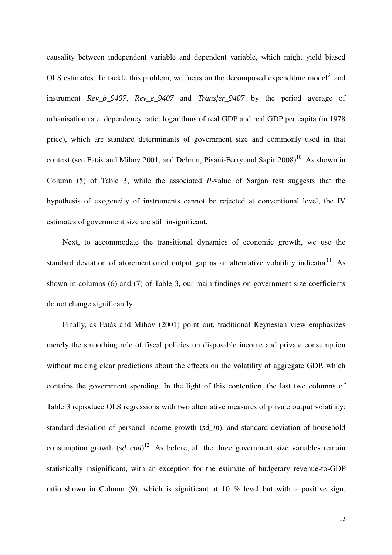causality between independent variable and dependent variable, which might yield biased OLS estimates. To tackle this problem, we focus on the decomposed expenditure model<sup>9</sup> and instrument *Rev\_b\_9407*, *Rev\_e\_9407* and *Transfer\_9407* by the period average of urbanisation rate, dependency ratio, logarithms of real GDP and real GDP per capita (in 1978 price), which are standard determinants of government size and commonly used in that context (see Fatás and Mihov 2001, and Debrun, Pisani-Ferry and Sapir  $2008$ )<sup>10</sup>. As shown in Column (5) of Table 3, while the associated *P*-value of Sargan test suggests that the hypothesis of exogeneity of instruments cannot be rejected at conventional level, the IV estimates of government size are still insignificant.

Next, to accommodate the transitional dynamics of economic growth, we use the standard deviation of aforementioned output gap as an alternative volatility indicator<sup>11</sup>. As shown in columns (6) and (7) of Table 3, our main findings on government size coefficients do not change significantly.

Finally, as Fatás and Mihov (2001) point out, traditional Keynesian view emphasizes merely the smoothing role of fiscal policies on disposable income and private consumption without making clear predictions about the effects on the volatility of aggregate GDP, which contains the government spending. In the light of this contention, the last two columns of Table 3 reproduce OLS regressions with two alternative measures of private output volatility: standard deviation of personal income growth (*sd\_in*), and standard deviation of household consumption growth  $(sd\_{con})^{12}$ . As before, all the three government size variables remain statistically insignificant, with an exception for the estimate of budgetary revenue-to-GDP ratio shown in Column (9), which is significant at 10 % level but with a positive sign,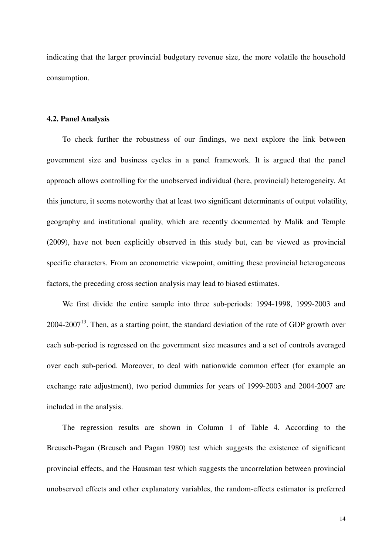indicating that the larger provincial budgetary revenue size, the more volatile the household consumption.

#### **4.2. Panel Analysis**

To check further the robustness of our findings, we next explore the link between government size and business cycles in a panel framework. It is argued that the panel approach allows controlling for the unobserved individual (here, provincial) heterogeneity. At this juncture, it seems noteworthy that at least two significant determinants of output volatility, geography and institutional quality, which are recently documented by Malik and Temple (2009), have not been explicitly observed in this study but, can be viewed as provincial specific characters. From an econometric viewpoint, omitting these provincial heterogeneous factors, the preceding cross section analysis may lead to biased estimates.

We first divide the entire sample into three sub-periods: 1994-1998, 1999-2003 and  $2004$ - $2007<sup>13</sup>$ . Then, as a starting point, the standard deviation of the rate of GDP growth over each sub-period is regressed on the government size measures and a set of controls averaged over each sub-period. Moreover, to deal with nationwide common effect (for example an exchange rate adjustment), two period dummies for years of 1999-2003 and 2004-2007 are included in the analysis.

The regression results are shown in Column 1 of Table 4. According to the Breusch-Pagan (Breusch and Pagan 1980) test which suggests the existence of significant provincial effects, and the Hausman test which suggests the uncorrelation between provincial unobserved effects and other explanatory variables, the random-effects estimator is preferred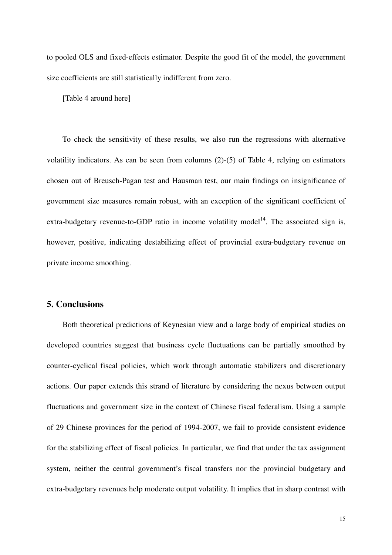to pooled OLS and fixed-effects estimator. Despite the good fit of the model, the government size coefficients are still statistically indifferent from zero.

[Table 4 around here]

To check the sensitivity of these results, we also run the regressions with alternative volatility indicators. As can be seen from columns (2)-(5) of Table 4, relying on estimators chosen out of Breusch-Pagan test and Hausman test, our main findings on insignificance of government size measures remain robust, with an exception of the significant coefficient of extra-budgetary revenue-to-GDP ratio in income volatility model<sup>14</sup>. The associated sign is, however, positive, indicating destabilizing effect of provincial extra-budgetary revenue on private income smoothing.

### **5. Conclusions**

Both theoretical predictions of Keynesian view and a large body of empirical studies on developed countries suggest that business cycle fluctuations can be partially smoothed by counter-cyclical fiscal policies, which work through automatic stabilizers and discretionary actions. Our paper extends this strand of literature by considering the nexus between output fluctuations and government size in the context of Chinese fiscal federalism. Using a sample of 29 Chinese provinces for the period of 1994-2007, we fail to provide consistent evidence for the stabilizing effect of fiscal policies. In particular, we find that under the tax assignment system, neither the central government's fiscal transfers nor the provincial budgetary and extra-budgetary revenues help moderate output volatility. It implies that in sharp contrast with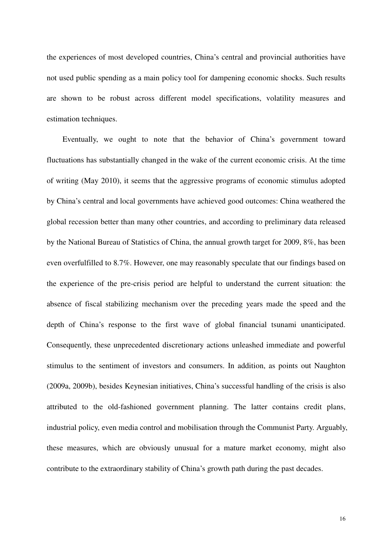the experiences of most developed countries, China's central and provincial authorities have not used public spending as a main policy tool for dampening economic shocks. Such results are shown to be robust across different model specifications, volatility measures and estimation techniques.

Eventually, we ought to note that the behavior of China's government toward fluctuations has substantially changed in the wake of the current economic crisis. At the time of writing (May 2010), it seems that the aggressive programs of economic stimulus adopted by China's central and local governments have achieved good outcomes: China weathered the global recession better than many other countries, and according to preliminary data released by the National Bureau of Statistics of China, the annual growth target for 2009, 8%, has been even overfulfilled to 8.7%. However, one may reasonably speculate that our findings based on the experience of the pre-crisis period are helpful to understand the current situation: the absence of fiscal stabilizing mechanism over the preceding years made the speed and the depth of China's response to the first wave of global financial tsunami unanticipated. Consequently, these unprecedented discretionary actions unleashed immediate and powerful stimulus to the sentiment of investors and consumers. In addition, as points out Naughton (2009a, 2009b), besides Keynesian initiatives, China's successful handling of the crisis is also attributed to the old-fashioned government planning. The latter contains credit plans, industrial policy, even media control and mobilisation through the Communist Party. Arguably, these measures, which are obviously unusual for a mature market economy, might also contribute to the extraordinary stability of China's growth path during the past decades.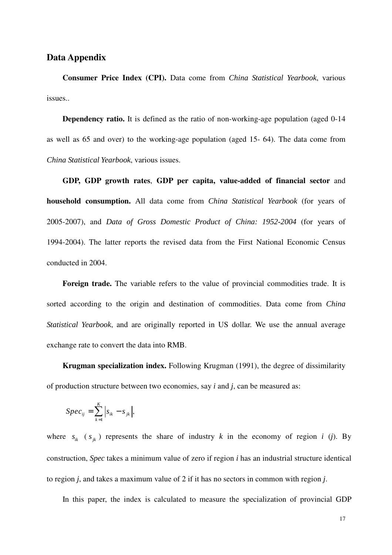#### **Data Appendix**

**Consumer Price Index (CPI).** Data come from *China Statistical Yearbook*, various issues..

**Dependency ratio.** It is defined as the ratio of non-working-age population (aged 0-14) as well as 65 and over) to the working-age population (aged 15- 64). The data come from *China Statistical Yearbook*, various issues.

**GDP, GDP growth rates**, **GDP per capita, value-added of financial sector** and **household consumption.** All data come from *China Statistical Yearbook* (for years of 2005-2007), and *Data of Gross Domestic Product of China: 1952-2004* (for years of 1994-2004). The latter reports the revised data from the First National Economic Census conducted in 2004.

Foreign trade. The variable refers to the value of provincial commodities trade. It is sorted according to the origin and destination of commodities. Data come from *China Statistical Yearbook*, and are originally reported in US dollar. We use the annual average exchange rate to convert the data into RMB.

**Krugman specialization index.** Following Krugman (1991), the degree of dissimilarity of production structure between two economies, say *i* and *j*, can be measured as:

$$
Spec_{ij} = \sum_{k=1}^{K} \left| s_{ik} - s_{jk} \right|,
$$

where  $s_{ik}$  ( $s_{jk}$ ) represents the share of industry k in the economy of region *i* (*j*). By construction, *Spec* takes a minimum value of zero if region *i* has an industrial structure identical to region *j*, and takes a maximum value of 2 if it has no sectors in common with region *j*.

In this paper, the index is calculated to measure the specialization of provincial GDP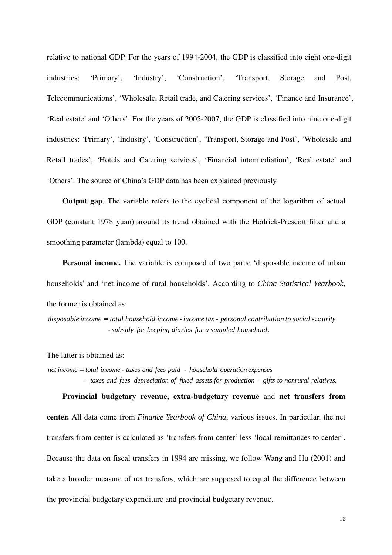relative to national GDP. For the years of 1994-2004, the GDP is classified into eight one-digit industries: 'Primary', 'Industry', 'Construction', 'Transport, Storage and Post, Telecommunications', 'Wholesale, Retail trade, and Catering services', 'Finance and Insurance', 'Real estate' and 'Others'. For the years of 2005-2007, the GDP is classified into nine one-digit industries: 'Primary', 'Industry', 'Construction', 'Transport, Storage and Post', 'Wholesale and Retail trades', 'Hotels and Catering services', 'Financial intermediation', 'Real estate' and 'Others'. The source of China's GDP data has been explained previously.

**Output gap**. The variable refers to the cyclical component of the logarithm of actual GDP (constant 1978 yuan) around its trend obtained with the Hodrick-Prescott filter and a smoothing parameter (lambda) equal to 100.

**Personal income.** The variable is composed of two parts: 'disposable income of urban households' and 'net income of rural households'. According to *China Statistical Yearbook*, the former is obtained as:

disposable income = total household income - income tax - personal contribution to social security - subsidy for keeping diaries for a sampled household.

The latter is obtained as:

net income = total income - taxes and fees paid - household operation expenses - taxes and fees depreciation of fixed assets for production - gifts to nonrural relatives.

**Provincial budgetary revenue, extra-budgetary revenue** and **net transfers from center.** All data come from *Finance Yearbook of China*, various issues. In particular, the net transfers from center is calculated as 'transfers from center' less 'local remittances to center'. Because the data on fiscal transfers in 1994 are missing, we follow Wang and Hu (2001) and take a broader measure of net transfers, which are supposed to equal the difference between the provincial budgetary expenditure and provincial budgetary revenue.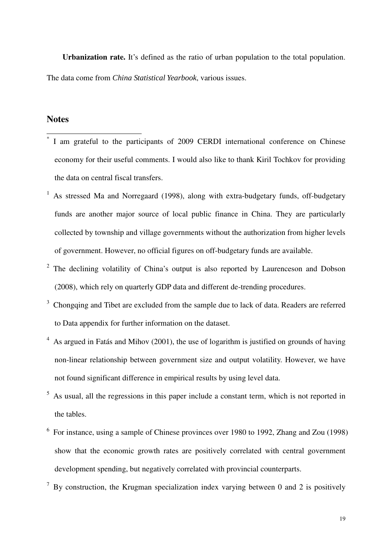**Urbanization rate.** It's defined as the ratio of urban population to the total population. The data come from *China Statistical Yearbook*, various issues.

## **Notes**

 $\overline{1}$ 

- \* I am grateful to the participants of 2009 CERDI international conference on Chinese economy for their useful comments. I would also like to thank Kiril Tochkov for providing the data on central fiscal transfers.
- 1 As stressed Ma and Norregaard (1998), along with extra-budgetary funds, off-budgetary funds are another major source of local public finance in China. They are particularly collected by township and village governments without the authorization from higher levels of government. However, no official figures on off-budgetary funds are available.
- $2$  The declining volatility of China's output is also reported by Laurenceson and Dobson (2008), which rely on quarterly GDP data and different de-trending procedures.
- <sup>3</sup> Chongqing and Tibet are excluded from the sample due to lack of data. Readers are referred to Data appendix for further information on the dataset.
- $4$  As argued in Fatás and Mihov (2001), the use of logarithm is justified on grounds of having non-linear relationship between government size and output volatility. However, we have not found significant difference in empirical results by using level data.
- 5 As usual, all the regressions in this paper include a constant term, which is not reported in the tables.
- $6\,$  For instance, using a sample of Chinese provinces over 1980 to 1992, Zhang and Zou (1998) show that the economic growth rates are positively correlated with central government development spending, but negatively correlated with provincial counterparts.
- <sup>7</sup> By construction, the Krugman specialization index varying between 0 and 2 is positively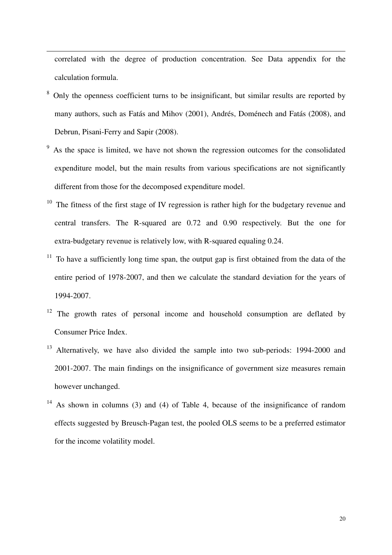correlated with the degree of production concentration. See Data appendix for the calculation formula.

 $\ddot{ }$ 

- <sup>8</sup> Only the openness coefficient turns to be insignificant, but similar results are reported by many authors, such as Fatás and Mihov (2001), Andrés, Doménech and Fatás (2008), and Debrun, Pisani-Ferry and Sapir (2008).
- 9 As the space is limited, we have not shown the regression outcomes for the consolidated expenditure model, but the main results from various specifications are not significantly different from those for the decomposed expenditure model.
- $10$  The fitness of the first stage of IV regression is rather high for the budgetary revenue and central transfers. The R-squared are 0.72 and 0.90 respectively. But the one for extra-budgetary revenue is relatively low, with R-squared equaling 0.24.
- $11$  To have a sufficiently long time span, the output gap is first obtained from the data of the entire period of 1978-2007, and then we calculate the standard deviation for the years of 1994-2007.
- <sup>12</sup> The growth rates of personal income and household consumption are deflated by Consumer Price Index.
- <sup>13</sup> Alternatively, we have also divided the sample into two sub-periods: 1994-2000 and 2001-2007. The main findings on the insignificance of government size measures remain however unchanged.
- <sup>14</sup> As shown in columns (3) and (4) of Table 4, because of the insignificance of random effects suggested by Breusch-Pagan test, the pooled OLS seems to be a preferred estimator for the income volatility model.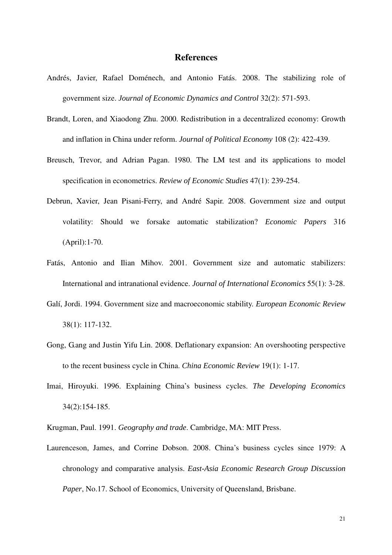#### **References**

- Andrés, Javier, Rafael Doménech, and Antonio Fatás. 2008. The stabilizing role of government size. *Journal of Economic Dynamics and Control* 32(2): 571-593.
- Brandt, Loren, and Xiaodong Zhu. 2000. Redistribution in a decentralized economy: Growth and inflation in China under reform. *Journal of Political Economy* 108 (2): 422-439.
- Breusch, Trevor, and Adrian Pagan. 1980. The LM test and its applications to model specification in econometrics. *Review of Economic Studies* 47(1): 239-254.
- Debrun, Xavier, Jean Pisani-Ferry, and André Sapir. 2008. Government size and output volatility: Should we forsake automatic stabilization? *Economic Papers* 316 (April):1-70.
- Fatás, Antonio and Ilian Mihov. 2001. Government size and automatic stabilizers: International and intranational evidence. *Journal of International Economics* 55(1): 3-28.
- Galí, Jordi. 1994. Government size and macroeconomic stability. *European Economic Review* 38(1): 117-132.
- Gong, G.ang and Justin Yifu Lin. 2008. Deflationary expansion: An overshooting perspective to the recent business cycle in China. *China Economic Review* 19(1): 1-17.
- Imai, Hiroyuki. 1996. Explaining China's business cycles. *The Developing Economics* 34(2):154-185.

Krugman, Paul. 1991. *Geography and trade*. Cambridge, MA: MIT Press.

Laurenceson, James, and Corrine Dobson. 2008. China's business cycles since 1979: A chronology and comparative analysis. *East-Asia Economic Research Group Discussion Paper*, No.17. School of Economics, University of Queensland, Brisbane.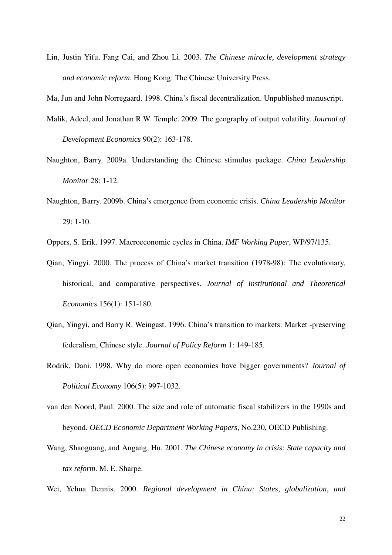Lin, Justin Yifu, Fang Cai, and Zhou Li. 2003. *The Chinese miracle, development strategy and economic reform*. Hong Kong: The Chinese University Press.

Ma, Jun and John Norregaard. 1998. China's fiscal decentralization. Unpublished manuscript.

- Malik, Adeel, and Jonathan R.W. Temple. 2009. The geography of output volatility. *Journal of Development Economics* 90(2): 163-178.
- Naughton, Barry. 2009a. Understanding the Chinese stimulus package. *China Leadership Monitor* 28: 1-12.
- Naughton, Barry. 2009b. China's emergence from economic crisis. *China Leadership Monitor*  29: 1-10.

Oppers, S. Erik. 1997. Macroeconomic cycles in China. *IMF Working Paper*, WP/97/135.

- Qian, Yingyi. 2000. The process of China's market transition (1978-98): The evolutionary, historical, and comparative perspectives. *Journal of Institutional and Theoretical Economics* 156(1): 151-180.
- Qian, Yingyi, and Barry R. Weingast. 1996. China's transition to markets: Market -preserving federalism, Chinese style. *Journal of Policy Reform* 1: 149-185.
- Rodrik, Dani. 1998. Why do more open economies have bigger governments? *Journal of Political Economy* 106(5): 997-1032.
- van den Noord, Paul. 2000. The size and role of automatic fiscal stabilizers in the 1990s and beyond. *OECD Economic Department Working Papers*, No.230, OECD Publishing.
- Wang, Shaoguang, and Angang, Hu. 2001. *The Chinese economy in crisis: State capacity and tax reform*. M. E. Sharpe.
- Wei, Yehua Dennis. 2000. *Regional development in China: States, globalization, and*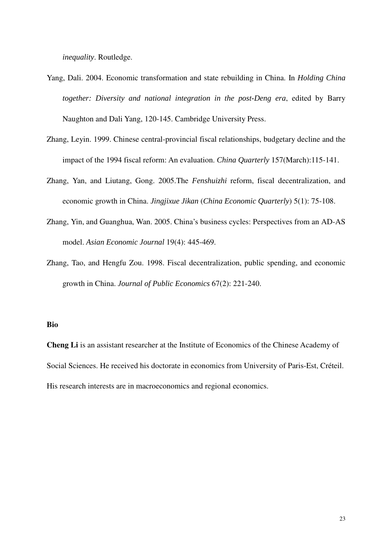*inequality*. Routledge.

- Yang, Dali. 2004. Economic transformation and state rebuilding in China. In *Holding China together: Diversity and national integration in the post-Deng era*, edited by Barry Naughton and Dali Yang, 120-145. Cambridge University Press.
- Zhang, Leyin. 1999. Chinese central-provincial fiscal relationships, budgetary decline and the impact of the 1994 fiscal reform: An evaluation. *China Quarterly* 157(March):115-141.
- Zhang, Yan, and Liutang, Gong. 2005.The *Fenshuizhi* reform, fiscal decentralization, and economic growth in China. *Jingjixue Jikan* (*China Economic Quarterly*) 5(1): 75-108.
- Zhang, Yin, and Guanghua, Wan. 2005. China's business cycles: Perspectives from an AD-AS model. *Asian Economic Journal* 19(4): 445-469.
- Zhang, Tao, and Hengfu Zou. 1998. Fiscal decentralization, public spending, and economic growth in China. *Journal of Public Economics* 67(2): 221-240.

#### **Bio**

**Cheng Li** is an assistant researcher at the Institute of Economics of the Chinese Academy of Social Sciences. He received his doctorate in economics from University of Paris-Est, Créteil. His research interests are in macroeconomics and regional economics.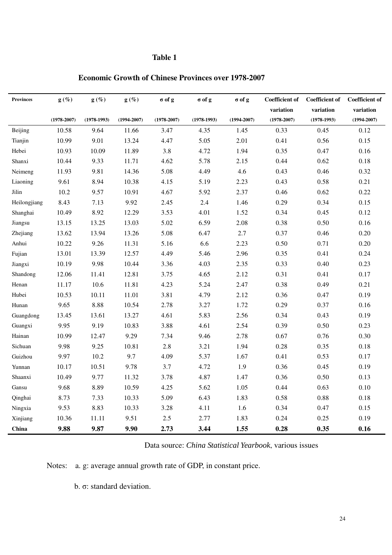| <b>Provinces</b> | $g(\%)$         | $g(\%)$       | $g(\%)$         | $\sigma$ of g   | $\sigma$ of g | $\sigma$ of g   | <b>Coefficient of</b> | <b>Coefficient of</b> | <b>Coefficient of</b> |
|------------------|-----------------|---------------|-----------------|-----------------|---------------|-----------------|-----------------------|-----------------------|-----------------------|
|                  |                 |               |                 |                 |               |                 | variation             | variation             | variation             |
|                  | $(1978 - 2007)$ | $(1978-1993)$ | $(1994 - 2007)$ | $(1978 - 2007)$ | $(1978-1993)$ | $(1994 - 2007)$ | $(1978 - 2007)$       | $(1978-1993)$         | $(1994 - 2007)$       |
| Beijing          | 10.58           | 9.64          | 11.66           | 3.47            | 4.35          | 1.45            | 0.33                  | 0.45                  | 0.12                  |
| Tianjin          | 10.99           | 9.01          | 13.24           | 4.47            | 5.05          | 2.01            | 0.41                  | 0.56                  | 0.15                  |
| Hebei            | 10.93           | 10.09         | 11.89           | 3.8             | 4.72          | 1.94            | 0.35                  | 0.47                  | 0.16                  |
| Shanxi           | 10.44           | 9.33          | 11.71           | 4.62            | 5.78          | 2.15            | 0.44                  | 0.62                  | 0.18                  |
| Neimeng          | 11.93           | 9.81          | 14.36           | 5.08            | 4.49          | 4.6             | 0.43                  | 0.46                  | 0.32                  |
| Liaoning         | 9.61            | 8.94          | 10.38           | 4.15            | 5.19          | 2.23            | 0.43                  | 0.58                  | 0.21                  |
| Jilin            | 10.2            | 9.57          | 10.91           | 4.67            | 5.92          | 2.37            | 0.46                  | 0.62                  | 0.22                  |
| Heilongjiang     | 8.43            | 7.13          | 9.92            | 2.45            | 2.4           | 1.46            | 0.29                  | 0.34                  | 0.15                  |
| Shanghai         | 10.49           | 8.92          | 12.29           | 3.53            | 4.01          | 1.52            | 0.34                  | 0.45                  | 0.12                  |
| Jiangsu          | 13.15           | 13.25         | 13.03           | 5.02            | 6.59          | 2.08            | 0.38                  | 0.50                  | 0.16                  |
| Zhejiang         | 13.62           | 13.94         | 13.26           | 5.08            | 6.47          | 2.7             | 0.37                  | 0.46                  | 0.20                  |
| Anhui            | 10.22           | 9.26          | 11.31           | 5.16            | 6.6           | 2.23            | 0.50                  | 0.71                  | 0.20                  |
| Fujian           | 13.01           | 13.39         | 12.57           | 4.49            | 5.46          | 2.96            | 0.35                  | 0.41                  | 0.24                  |
| Jiangxi          | 10.19           | 9.98          | 10.44           | 3.36            | 4.03          | 2.35            | 0.33                  | 0.40                  | 0.23                  |
| Shandong         | 12.06           | 11.41         | 12.81           | 3.75            | 4.65          | 2.12            | 0.31                  | 0.41                  | 0.17                  |
| Henan            | 11.17           | 10.6          | 11.81           | 4.23            | 5.24          | 2.47            | 0.38                  | 0.49                  | 0.21                  |
| Hubei            | 10.53           | 10.11         | 11.01           | 3.81            | 4.79          | 2.12            | 0.36                  | 0.47                  | 0.19                  |
| Hunan            | 9.65            | 8.88          | 10.54           | 2.78            | 3.27          | 1.72            | 0.29                  | 0.37                  | 0.16                  |
| Guangdong        | 13.45           | 13.61         | 13.27           | 4.61            | 5.83          | 2.56            | 0.34                  | 0.43                  | 0.19                  |
| Guangxi          | 9.95            | 9.19          | 10.83           | 3.88            | 4.61          | 2.54            | 0.39                  | 0.50                  | 0.23                  |
| Hainan           | 10.99           | 12.47         | 9.29            | 7.34            | 9.46          | 2.78            | 0.67                  | 0.76                  | 0.30                  |
| Sichuan          | 9.98            | 9.25          | 10.81           | 2.8             | 3.21          | 1.94            | 0.28                  | 0.35                  | 0.18                  |
| Guizhou          | 9.97            | 10.2          | 9.7             | 4.09            | 5.37          | 1.67            | 0.41                  | 0.53                  | 0.17                  |
| Yunnan           | 10.17           | 10.51         | 9.78            | 3.7             | 4.72          | 1.9             | 0.36                  | 0.45                  | 0.19                  |
| Shaanxi          | 10.49           | 9.77          | 11.32           | 3.78            | 4.87          | 1.47            | 0.36                  | 0.50                  | 0.13                  |
| Gansu            | 9.68            | 8.89          | 10.59           | 4.25            | 5.62          | 1.05            | 0.44                  | 0.63                  | 0.10                  |
| Qinghai          | 8.73            | 7.33          | 10.33           | 5.09            | 6.43          | 1.83            | 0.58                  | 0.88                  | 0.18                  |
| Ningxia          | 9.53            | 8.83          | 10.33           | 3.28            | 4.11          | 1.6             | 0.34                  | 0.47                  | 0.15                  |
| Xinjiang         | 10.36           | 11.11         | 9.51            | $2.5\,$         | 2.77          | 1.83            | 0.24                  | 0.25                  | 0.19                  |
| China            | 9.88            | 9.87          | 9.90            | 2.73            | 3.44          | 1.55            | 0.28                  | 0.35                  | 0.16                  |

Data source: *China Statistical Yearbook*, various issues

Notes: a. g: average annual growth rate of GDP, in constant price.

b. σ: standard deviation.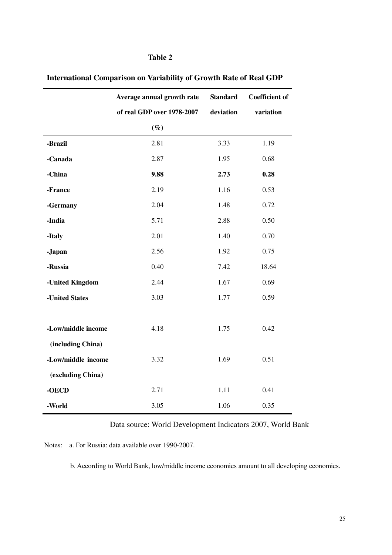|                    | Average annual growth rate | <b>Standard</b> | <b>Coefficient of</b> |
|--------------------|----------------------------|-----------------|-----------------------|
|                    | of real GDP over 1978-2007 | deviation       | variation             |
|                    | $(\%)$                     |                 |                       |
| -Brazil            | 2.81                       | 3.33            | 1.19                  |
| -Canada            | 2.87                       | 1.95            | 0.68                  |
| -China             | 9.88                       | 2.73            | 0.28                  |
| -France            | 2.19                       | 1.16            | 0.53                  |
| -Germany           | 2.04                       | 1.48            | 0.72                  |
| -India             | 5.71                       | 2.88            | 0.50                  |
| -Italy             | 2.01                       | 1.40            | 0.70                  |
| -Japan             | 2.56                       | 1.92            | 0.75                  |
| -Russia            | 0.40                       | 7.42            | 18.64                 |
| -United Kingdom    | 2.44                       | 1.67            | 0.69                  |
| -United States     | 3.03                       | 1.77            | 0.59                  |
|                    |                            |                 |                       |
| -Low/middle income | 4.18                       | 1.75            | 0.42                  |
| (including China)  |                            |                 |                       |
| -Low/middle income | 3.32                       | 1.69            | 0.51                  |
| (excluding China)  |                            |                 |                       |
| -OECD              | 2.71                       | 1.11            | 0.41                  |
| -World             | 3.05                       | 1.06            | 0.35                  |

## **International Comparison on Variability of Growth Rate of Real GDP**

Data source: World Development Indicators 2007, World Bank

Notes: a. For Russia: data available over 1990-2007.

b. According to World Bank, low/middle income economies amount to all developing economies.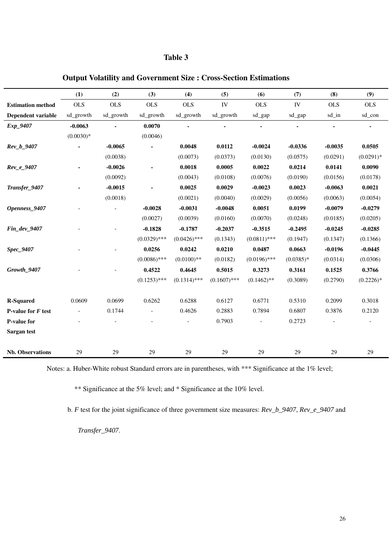|                          | (1)         | (2)        | (3)            | (4)            | (5)            | (6)            | (7)         | (8)        | (9)         |
|--------------------------|-------------|------------|----------------|----------------|----------------|----------------|-------------|------------|-------------|
| <b>Estimation method</b> | <b>OLS</b>  | <b>OLS</b> | <b>OLS</b>     | <b>OLS</b>     | IV             | <b>OLS</b>     | IV          | <b>OLS</b> | <b>OLS</b>  |
| Dependent variable       | sd growth   | sd_growth  | sd growth      | sd growth      | sd_growth      | sd_gap         | sd_gap      | sd_in      | sd_con      |
| Exp_9407                 | $-0.0063$   |            | 0.0070         |                |                |                | ä,          |            |             |
|                          | $(0.0030)*$ |            | (0.0046)       |                |                |                |             |            |             |
| Rev_b_9407               |             | $-0.0065$  |                | 0.0048         | 0.0112         | $-0.0024$      | $-0.0336$   | $-0.0035$  | 0.0505      |
|                          |             | (0.0038)   |                | (0.0073)       | (0.0373)       | (0.0130)       | (0.0575)    | (0.0291)   | $(0.0291)*$ |
| Rev_e_9407               |             | $-0.0026$  | $\blacksquare$ | 0.0018         | 0.0005         | 0.0022         | 0.0214      | 0.0141     | 0.0090      |
|                          |             | (0.0092)   |                | (0.0043)       | (0.0108)       | (0.0076)       | (0.0190)    | (0.0156)   | (0.0178)    |
| Transfer_9407            |             | $-0.0015$  |                | 0.0025         | 0.0029         | $-0.0023$      | 0.0023      | $-0.0063$  | 0.0021      |
|                          |             | (0.0018)   |                | (0.0021)       | (0.0040)       | (0.0029)       | (0.0056)    | (0.0063)   | (0.0054)    |
| Openness 9407            |             |            | $-0.0028$      | $-0.0031$      | $-0.0048$      | 0.0051         | 0.0199      | $-0.0079$  | $-0.0279$   |
|                          |             |            | (0.0027)       | (0.0039)       | (0.0160)       | (0.0070)       | (0.0248)    | (0.0185)   | (0.0205)    |
| Fin_dev_9407             |             |            | $-0.1828$      | $-0.1787$      | $-0.2037$      | $-0.3515$      | $-0.2495$   | $-0.0245$  | $-0.0285$   |
|                          |             |            | $(0.0329)$ *** | $(0.0426)$ *** | (0.1343)       | $(0.0811)$ *** | (0.1947)    | (0.1347)   | (0.1366)    |
| Spec_9407                |             |            | 0.0256         | 0.0242         | 0.0210         | 0.0487         | 0.0663      | $-0.0196$  | $-0.0445$   |
|                          |             |            | $(0.0086)$ *** | $(0.0100)$ **  | (0.0182)       | $(0.0196)$ *** | $(0.0385)*$ | (0.0314)   | (0.0306)    |
| Growth 9407              |             |            | 0.4522         | 0.4645         | 0.5015         | 0.3273         | 0.3161      | 0.1525     | 0.3766      |
|                          |             |            | $(0.1253)$ *** | $(0.1314)$ *** | $(0.1607)$ *** | $(0.1462)$ **  | (0.3089)    | (0.2790)   | $(0.2226)*$ |
|                          |             |            |                |                |                |                |             |            |             |
| <b>R-Squared</b>         | 0.0609      | 0.0699     | 0.6262         | 0.6288         | 0.6127         | 0.6771         | 0.5310      | 0.2099     | 0.3018      |
| P-value for $F$ test     | $\sim$      | 0.1744     | $\overline{a}$ | 0.4626         | 0.2883         | 0.7894         | 0.6807      | 0.3876     | 0.2120      |
| <b>P-value for</b>       |             |            |                |                | 0.7903         |                | 0.2723      |            |             |
| Sargan test              |             |            |                |                |                |                |             |            |             |
|                          |             |            |                |                |                |                |             |            |             |
| <b>Nb.</b> Observations  | 29          | 29         | 29             | 29             | 29             | 29             | 29          | 29         | 29          |

## **Output Volatility and Government Size : Cross-Section Estimations**

Notes: a. Huber-White robust Standard errors are in parentheses, with \*\*\* Significance at the 1% level;

\*\* Significance at the 5% level; and \* Significance at the 10% level.

b. *F* test for the joint significance of three government size measures: *Rev\_b\_9407*, *Rev\_e\_9407* and

*Transfer\_9407*.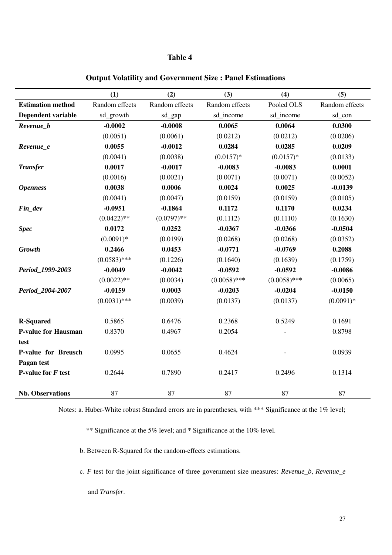|                            | (1)            | (2)            | (3)            | (4)            | (5)            |
|----------------------------|----------------|----------------|----------------|----------------|----------------|
| <b>Estimation method</b>   | Random effects | Random effects | Random effects | Pooled OLS     | Random effects |
| <b>Dependent variable</b>  | sd_growth      | sd_gap         | sd_income      | sd_income      | sd_con         |
| Revenue_b                  | $-0.0002$      | $-0.0008$      | 0.0065         | 0.0064         | 0.0300         |
|                            | (0.0051)       | (0.0061)       | (0.0212)       | (0.0212)       | (0.0206)       |
| Revenue_e                  | 0.0055         | $-0.0012$      | 0.0284         | 0.0285         | 0.0209         |
|                            | (0.0041)       | (0.0038)       | $(0.0157)*$    | $(0.0157)*$    | (0.0133)       |
| <b>Transfer</b>            | 0.0017         | $-0.0017$      | $-0.0083$      | $-0.0083$      | 0.0001         |
|                            | (0.0016)       | (0.0021)       | (0.0071)       | (0.0071)       | (0.0052)       |
| <b>Openness</b>            | 0.0038         | 0.0006         | 0.0024         | 0.0025         | $-0.0139$      |
|                            | (0.0041)       | (0.0047)       | (0.0159)       | (0.0159)       | (0.0105)       |
| Fin_dev                    | $-0.0951$      | $-0.1864$      | 0.1172         | 0.1170         | 0.0234         |
|                            | $(0.0422)$ **  | $(0.0797)$ **  | (0.1112)       | (0.1110)       | (0.1630)       |
| <b>Spec</b>                | 0.0172         | 0.0252         | $-0.0367$      | $-0.0366$      | $-0.0504$      |
|                            | $(0.0091)$ *   | (0.0199)       | (0.0268)       | (0.0268)       | (0.0352)       |
| Growth                     | 0.2466         | 0.0453         | $-0.0771$      | $-0.0769$      | 0.2088         |
|                            | $(0.0583)$ *** | (0.1226)       | (0.1640)       | (0.1639)       | (0.1759)       |
| Period 1999-2003           | $-0.0049$      | $-0.0042$      | $-0.0592$      | $-0.0592$      | $-0.0086$      |
|                            | $(0.0022)$ **  | (0.0034)       | $(0.0058)$ *** | $(0.0058)$ *** | (0.0065)       |
| Period_2004-2007           | $-0.0159$      | 0.0003         | $-0.0203$      | $-0.0204$      | $-0.0150$      |
|                            | $(0.0031)$ *** | (0.0039)       | (0.0137)       | (0.0137)       | $(0.0091)$ *   |
| <b>R-Squared</b>           | 0.5865         | 0.6476         | 0.2368         | 0.5249         | 0.1691         |
| <b>P-value for Hausman</b> | 0.8370         | 0.4967         | 0.2054         |                | 0.8798         |
| test                       |                |                |                |                |                |
| P-value for Breusch        | 0.0995         | 0.0655         | 0.4624         |                | 0.0939         |
| Pagan test                 |                |                |                |                |                |
| P-value for $F$ test       | 0.2644         | 0.7890         | 0.2417         | 0.2496         | 0.1314         |
|                            |                |                |                |                |                |
| <b>Nb.</b> Observations    | 87             | 87             | 87             | 87             | 87             |

**Output Volatility and Government Size : Panel Estimations** 

Notes: a. Huber-White robust Standard errors are in parentheses, with \*\*\* Significance at the 1% level;

\*\* Significance at the 5% level; and \* Significance at the 10% level.

b. Between R-Squared for the random-effects estimations.

c. *F* test for the joint significance of three government size measures: *Revenue\_b*, *Revenue\_e*

and *Transfer*.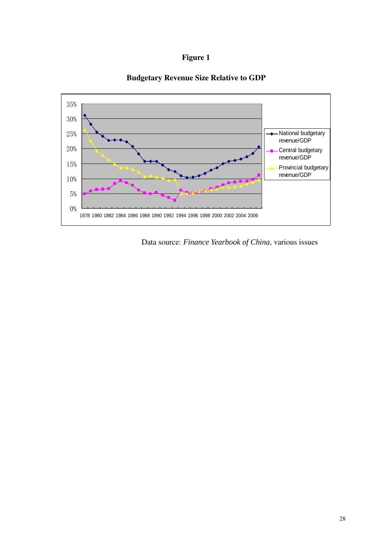



## **Budgetary Revenue Size Relative to GDP**

Data source: *Finance Yearbook of China*, various issues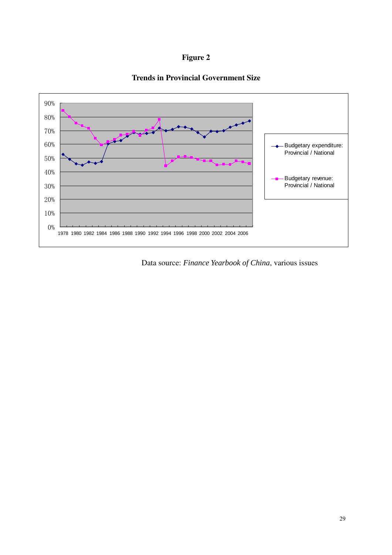

## **Trends in Provincial Government Size**



Data source: *Finance Yearbook of China*, various issues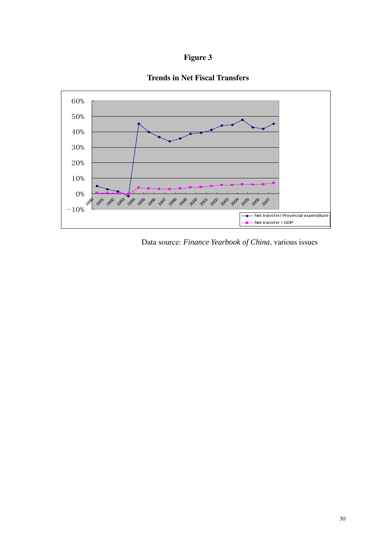





Data source: *Finance Yearbook of China*, various issues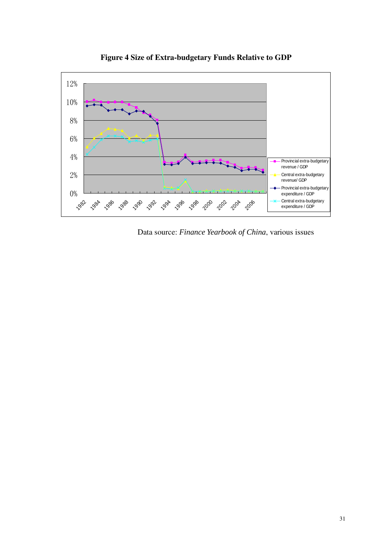

**Figure 4 Size of Extra-budgetary Funds Relative to GDP** 

Data source: *Finance Yearbook of China*, various issues